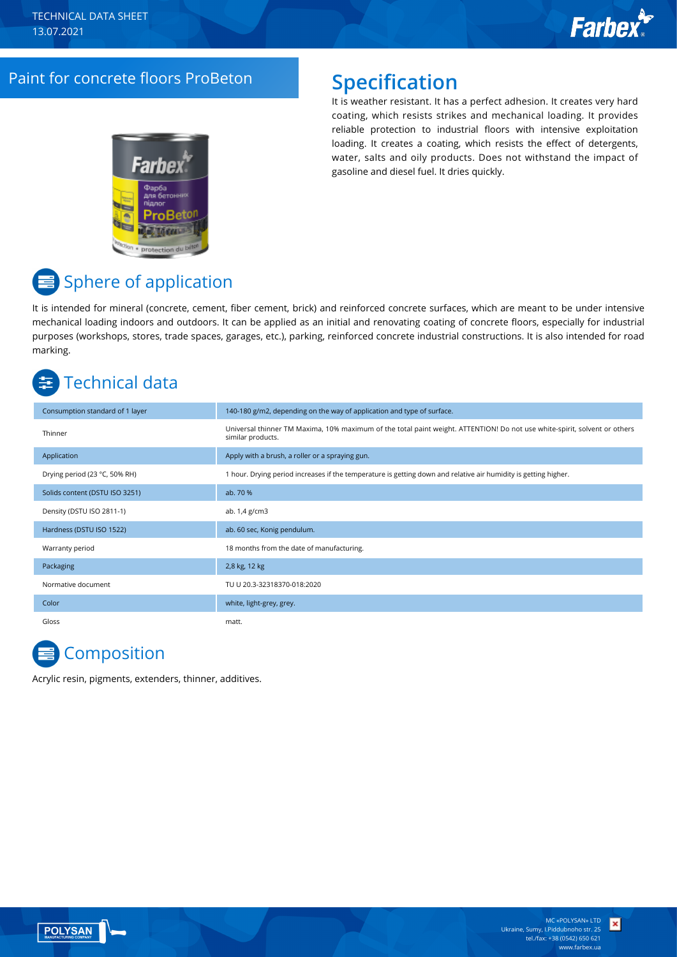### Paint for concrete floors ProBeton **Specification**

It is weather resistant. It has a perfect adhesion. It creates very hard coating, which resists strikes and mechanical loading. It provides reliable protection to industrial floors with intensive exploitation loading. It creates a coating, which resists the effect of detergents, water, salts and oily products. Does not withstand the impact of gasoline and diesel fuel. It dries quickly.

## Sphere of application

It is intended for mineral (concrete, cement, fiber cement, brick) and reinforced concrete surfaces, which are meant to be under intensive mechanical loading indoors and outdoors. It can be applied as an initial and renovating coating of concrete floors, especially for industrial purposes (workshops, stores, trade spaces, garages, etc.), parking, reinforced concrete industrial constructions. It is also intended for road marking.

## Technical data

| Consumption standard of 1 layer | 140-180 g/m2, depending on the way of application and type of surface.                                                                         |
|---------------------------------|------------------------------------------------------------------------------------------------------------------------------------------------|
| Thinner                         | Universal thinner TM Maxima, 10% maximum of the total paint weight. ATTENTION! Do not use white-spirit, solvent or others<br>similar products. |
| Application                     | Apply with a brush, a roller or a spraying gun.                                                                                                |
| Drying period (23 °C, 50% RH)   | 1 hour. Drying period increases if the temperature is getting down and relative air humidity is getting higher.                                |
| Solids content (DSTU ISO 3251)  | ab. 70 %                                                                                                                                       |
| Density (DSTU ISO 2811-1)       | ab. 1,4 g/cm3                                                                                                                                  |
| Hardness (DSTU ISO 1522)        | ab. 60 sec, Konig pendulum.                                                                                                                    |
| Warranty period                 | 18 months from the date of manufacturing.                                                                                                      |
| Packaging                       | 2,8 kg, 12 kg                                                                                                                                  |
| Normative document              | TU U 20.3-32318370-018:2020                                                                                                                    |
| Color                           | white, light-grey, grey.                                                                                                                       |
| Gloss                           | matt.                                                                                                                                          |

## **Composition**

Acrylic resin, pigments, extenders, thinner, additives.



×